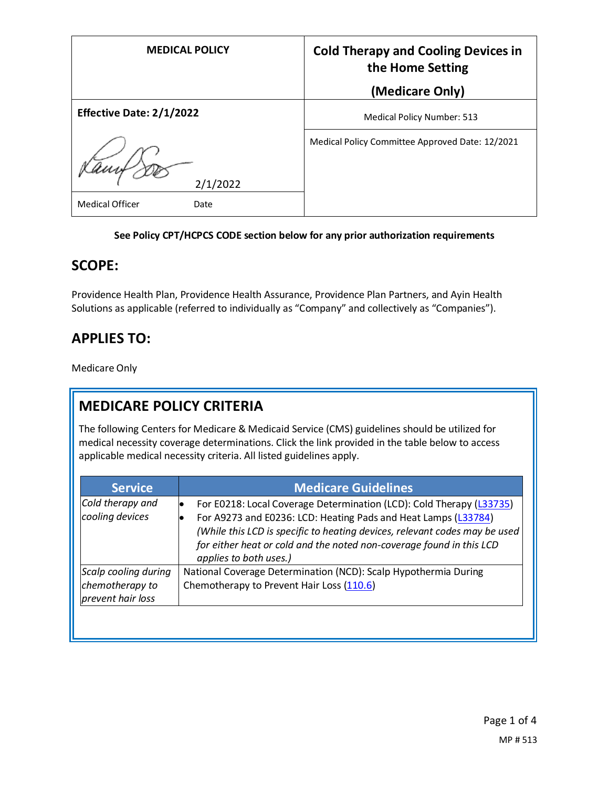| <b>MEDICAL POLICY</b>           | <b>Cold Therapy and Cooling Devices in</b><br>the Home Setting |
|---------------------------------|----------------------------------------------------------------|
|                                 | (Medicare Only)                                                |
| <b>Effective Date: 2/1/2022</b> | <b>Medical Policy Number: 513</b>                              |
| 2/1/2022                        | Medical Policy Committee Approved Date: 12/2021                |
| <b>Medical Officer</b><br>Date  |                                                                |

#### **See Policy CPT/HCPCS CODE section below for any prior authorization requirements**

#### **SCOPE:**

Providence Health Plan, Providence Health Assurance, Providence Plan Partners, and Ayin Health Solutions as applicable (referred to individually as "Company" and collectively as "Companies").

## **APPLIES TO:**

Medicare Only

# **MEDICARE POLICY CRITERIA**

The following Centers for Medicare & Medicaid Service (CMS) guidelines should be utilized for medical necessity coverage determinations. Click the link provided in the table below to access applicable medical necessity criteria. All listed guidelines apply.

| <b>Service</b>                                               | <b>Medicare Guidelines</b>                                                                                                                                                                                                                                                                                             |
|--------------------------------------------------------------|------------------------------------------------------------------------------------------------------------------------------------------------------------------------------------------------------------------------------------------------------------------------------------------------------------------------|
| Cold therapy and<br>cooling devices                          | For E0218: Local Coverage Determination (LCD): Cold Therapy (L33735)<br>For A9273 and E0236: LCD: Heating Pads and Heat Lamps (L33784)<br>(While this LCD is specific to heating devices, relevant codes may be used<br>for either heat or cold and the noted non-coverage found in this LCD<br>applies to both uses.) |
| Scalp cooling during<br>chemotherapy to<br>prevent hair loss | National Coverage Determination (NCD): Scalp Hypothermia During<br>Chemotherapy to Prevent Hair Loss (110.6)                                                                                                                                                                                                           |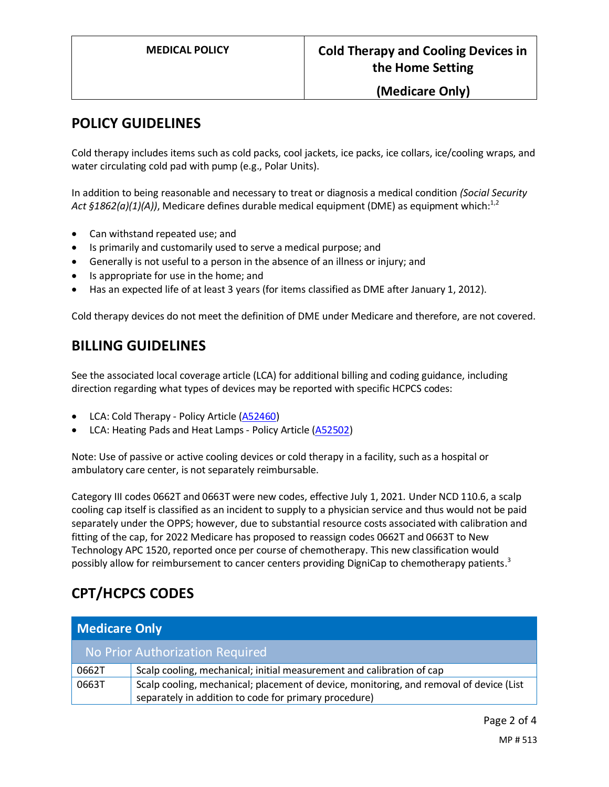#### **(Medicare Only)**

### **POLICY GUIDELINES**

Cold therapy includes items such as cold packs, cool jackets, ice packs, ice collars, ice/cooling wraps, and water circulating cold pad with pump (e.g., Polar Units).

In addition to being reasonable and necessary to treat or diagnosis a medical condition *(Social Security Act §1862(a)(1)(A))*, Medicare defines durable medical equipment (DME) as equipment which:<sup>1,2</sup>

- Can withstand repeated use; and
- Is primarily and customarily used to serve a medical purpose; and
- Generally is not useful to a person in the absence of an illness or injury; and
- Is appropriate for use in the home; and
- Has an expected life of at least 3 years (for items classified as DME after January 1, 2012).

Cold therapy devices do not meet the definition of DME under Medicare and therefore, are not covered.

## **BILLING GUIDELINES**

See the associated local coverage article (LCA) for additional billing and coding guidance, including direction regarding what types of devices may be reported with specific HCPCS codes:

- LCA: Cold Therapy Policy Article [\(A52460\)](https://www.cms.gov/medicare-coverage-database/view/article.aspx?articleid=52460)
- LCA: Heating Pads and Heat Lamps Policy Article [\(A52502\)](https://www.cms.gov/medicare-coverage-database/view/article.aspx?articleid=52502)

Note: Use of passive or active cooling devices or cold therapy in a facility, such as a hospital or ambulatory care center, is not separately reimbursable.

Category III codes 0662T and 0663T were new codes, effective July 1, 2021. Under NCD 110.6, a scalp cooling cap itself is classified as an incident to supply to a physician service and thus would not be paid separately under the OPPS; however, due to substantial resource costs associated with calibration and fitting of the cap, for 2022 Medicare has proposed to reassign codes 0662T and 0663T to New Technology APC 1520, reported once per course of chemotherapy. This new classification would possibly allow for reimbursement to cancer centers providing DigniCap to chemotherapy patients.<sup>3</sup>

# **CPT/HCPCS CODES**

| <b>Medicare Only</b> |                                                                                         |
|----------------------|-----------------------------------------------------------------------------------------|
|                      | No Prior Authorization Required                                                         |
| 0662T                | Scalp cooling, mechanical; initial measurement and calibration of cap                   |
| 0663T                | Scalp cooling, mechanical; placement of device, monitoring, and removal of device (List |
|                      | separately in addition to code for primary procedure)                                   |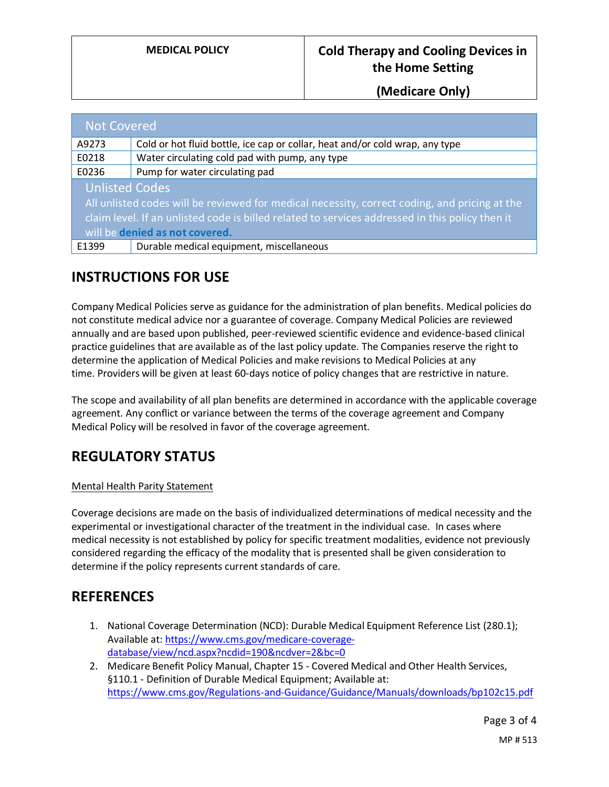**(Medicare Only)**

| <b>Not Covered</b>                                                                              |                                                                              |
|-------------------------------------------------------------------------------------------------|------------------------------------------------------------------------------|
| A9273                                                                                           | Cold or hot fluid bottle, ice cap or collar, heat and/or cold wrap, any type |
| E0218                                                                                           | Water circulating cold pad with pump, any type                               |
| E0236                                                                                           | Pump for water circulating pad                                               |
| <b>Unlisted Codes</b>                                                                           |                                                                              |
| All unlisted codes will be reviewed for medical necessity, correct coding, and pricing at the   |                                                                              |
| claim level. If an unlisted code is billed related to services addressed in this policy then it |                                                                              |
| will be denied as not covered.                                                                  |                                                                              |
| E1399                                                                                           | Durable medical equipment, miscellaneous                                     |

## **INSTRUCTIONS FOR USE**

Company Medical Policies serve as guidance for the administration of plan benefits. Medical policies do not constitute medical advice nor a guarantee of coverage. Company Medical Policies are reviewed annually and are based upon published, peer-reviewed scientific evidence and evidence-based clinical practice guidelines that are available as of the last policy update. The Companies reserve the right to determine the application of Medical Policies and make revisions to Medical Policies at any time. Providers will be given at least 60-days notice of policy changes that are restrictive in nature.

The scope and availability of all plan benefits are determined in accordance with the applicable coverage agreement. Any conflict or variance between the terms of the coverage agreement and Company Medical Policy will be resolved in favor of the coverage agreement.

# **REGULATORY STATUS**

#### Mental Health Parity Statement

Coverage decisions are made on the basis of individualized determinations of medical necessity and the experimental or investigational character of the treatment in the individual case. In cases where medical necessity is not established by policy for specific treatment modalities, evidence not previously considered regarding the efficacy of the modality that is presented shall be given consideration to determine if the policy represents current standards of care.

### **REFERENCES**

- 1. National Coverage Determination (NCD): Durable Medical Equipment Reference List (280.1); Available at[: https://www.cms.gov/medicare-coverage](https://www.cms.gov/medicare-coverage-database/view/ncd.aspx?ncdid=190&ncdver=2&bc=0)[database/view/ncd.aspx?ncdid=190&ncdver=2&bc=0](https://www.cms.gov/medicare-coverage-database/view/ncd.aspx?ncdid=190&ncdver=2&bc=0)
- 2. Medicare Benefit Policy Manual, Chapter 15 Covered Medical and Other Health Services, §110.1 - Definition of Durable Medical Equipment; Available at: <https://www.cms.gov/Regulations-and-Guidance/Guidance/Manuals/downloads/bp102c15.pdf>